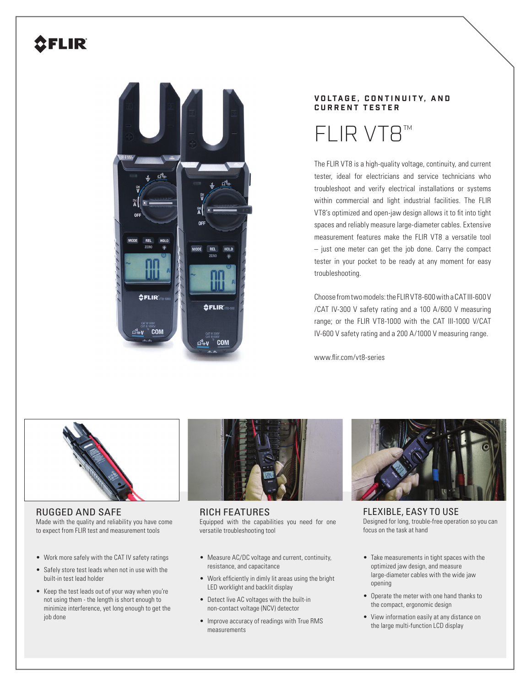## **CFLIR**



## **V O LT A G E , C O N T I N U I T Y, A N D CURRENT TESTER**

FLIR VT8™

The FLIR VT8 is a high-quality voltage, continuity, and current tester, ideal for electricians and service technicians who troubleshoot and verify electrical installations or systems within commercial and light industrial facilities. The FLIR VT8's optimized and open-jaw design allows it to fit into tight spaces and reliably measure large-diameter cables. Extensive measurement features make the FLIR VT8 a versatile tool – just one meter can get the job done. Carry the compact tester in your pocket to be ready at any moment for easy troubleshooting.

Choose from two models: the FLIR VT8-600 with a CAT III-600 V /CAT IV-300 V safety rating and a 100 A/600 V measuring range; or the FLIR VT8-1000 with the CAT III-1000 V/CAT IV-600 V safety rating and a 200 A/1000 V measuring range.

www.flir.com/vt8-series



## RUGGED AND SAFE

Made with the quality and reliability you have come to expect from FLIR test and measurement tools

- Work more safely with the CAT IV safety ratings
- Safely store test leads when not in use with the built-in test lead holder
- Keep the test leads out of your way when you're not using them - the length is short enough to minimize interference, yet long enough to get the job done



RICH FEATURES Equipped with the capabilities you need for one versatile troubleshooting tool

- Measure AC/DC voltage and current, continuity, resistance, and capacitance
- Work efficiently in dimly lit areas using the bright LED worklight and backlit display
- Detect live AC voltages with the built-in non-contact voltage (NCV) detector
- Improve accuracy of readings with True RMS measurements



FLEXIBLE, EASY TO USE Designed for long, trouble-free operation so you can focus on the task at hand

- Take measurements in tight spaces with the optimized jaw design, and measure large-diameter cables with the wide jaw opening
- Operate the meter with one hand thanks to the compact, ergonomic design
- View information easily at any distance on the large multi-function LCD display